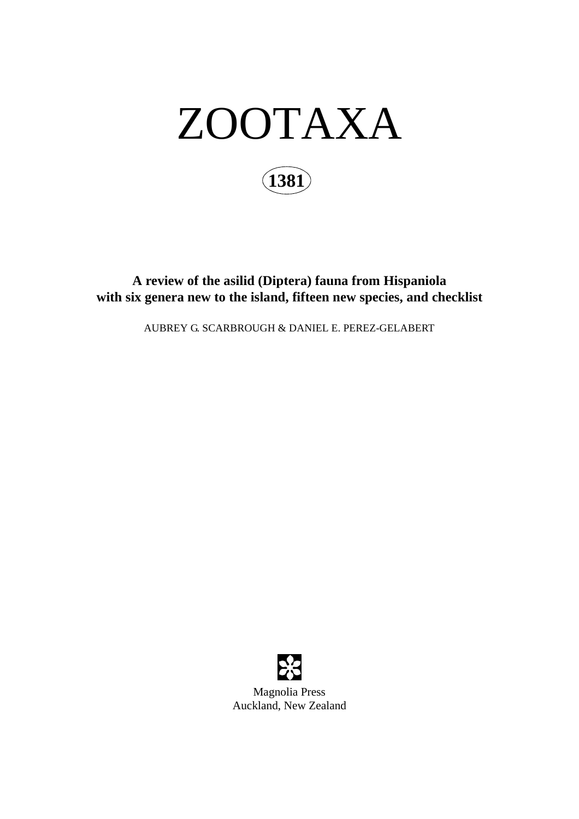

**A review of the asilid (Diptera) fauna from Hispaniola with six genera new to the island, fifteen new species, and checklist**

AUBREY G. SCARBROUGH & DANIEL E. PEREZ-GELABERT



Magnolia Press Auckland, New Zealand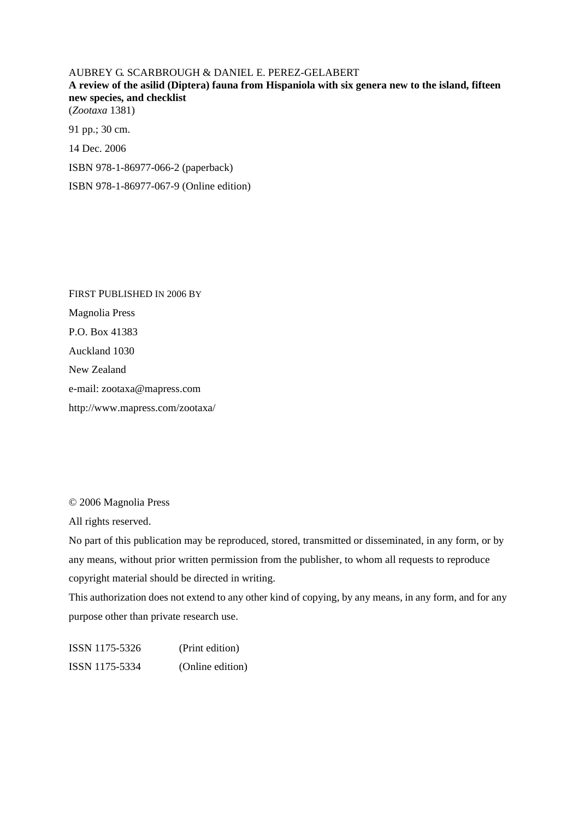AUBREY G. SCARBROUGH & DANIEL E. PEREZ-GELABERT **A review of the asilid (Diptera) fauna from Hispaniola with six genera new to the island, fifteen new species, and checklist** (*Zootaxa* 1381) 91 pp.; 30 cm. 14 Dec. 2006

ISBN 978-1-86977-066-2 (paperback)

ISBN 978-1-86977-067-9 (Online edition)

FIRST PUBLISHED IN 2006 BY Magnolia Press P.O. Box 41383 Auckland 1030 New Zealand e-mail: zootaxa@mapress.com http://www.mapress.com/zootaxa/

© 2006 Magnolia Press

All rights reserved.

No part of this publication may be reproduced, stored, transmitted or disseminated, in any form, or by any means, without prior written permission from the publisher, to whom all requests to reproduce copyright material should be directed in writing.

This authorization does not extend to any other kind of copying, by any means, in any form, and for any purpose other than private research use.

ISSN 1175-5326 (Print edition) ISSN 1175-5334 (Online edition)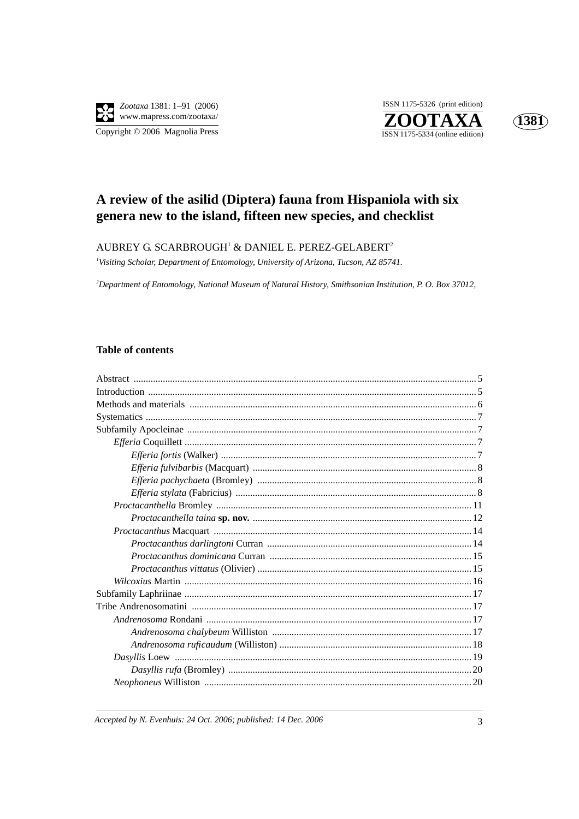

ISSN 1175-5326 (print edition) ZOOTAXA  $\overline{\text{ISSN }1175\text{-}5334}$  (online edition)



# A review of the asilid (Diptera) fauna from Hispaniola with six genera new to the island, fifteen new species, and checklist

### AUBREY G. SCARBROUGH<sup>1</sup> & DANIEL E. PEREZ-GELABERT<sup>2</sup>

<sup>1</sup>Visiting Scholar, Department of Entomology, University of Arizona, Tucson, AZ 85741.

<sup>2</sup>Department of Entomology, National Museum of Natural History, Smithsonian Institution, P. O. Box 37012,

## **Table of contents**

Accepted by N. Evenhuis: 24 Oct. 2006; published: 14 Dec. 2006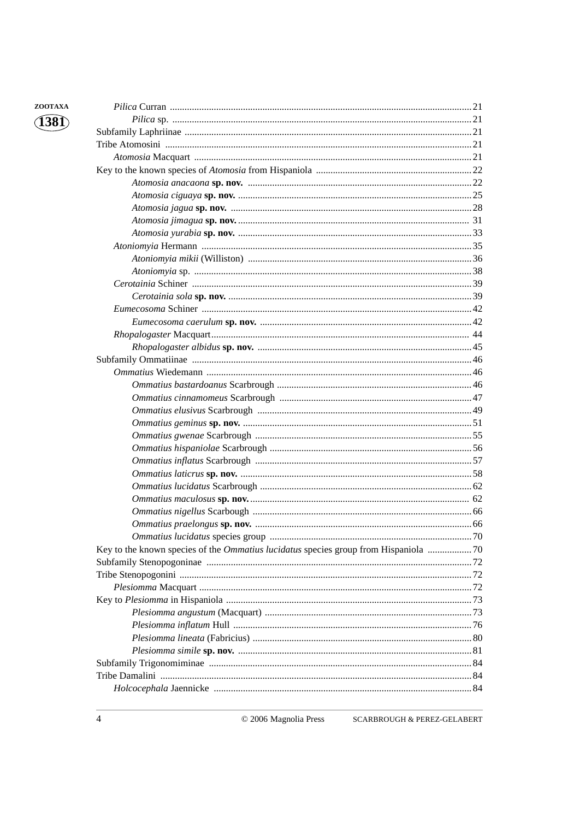| ZOOTAXA |  |
|---------|--|
| (1381)  |  |
|         |  |
|         |  |
|         |  |
|         |  |
|         |  |
|         |  |
|         |  |
|         |  |
|         |  |
|         |  |
|         |  |
|         |  |
|         |  |
|         |  |
|         |  |
|         |  |
|         |  |
|         |  |
|         |  |
|         |  |
|         |  |
|         |  |
|         |  |
|         |  |
|         |  |
|         |  |
|         |  |
|         |  |
|         |  |
|         |  |
|         |  |
|         |  |
|         |  |
|         |  |
|         |  |
|         |  |
|         |  |
|         |  |
|         |  |
|         |  |
|         |  |
|         |  |
|         |  |
|         |  |
|         |  |